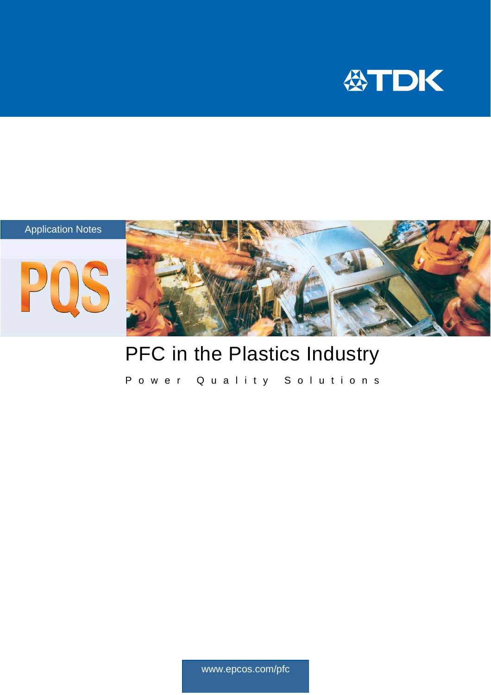



## PFC in the Plastics Industry

Power Quality Solutions

www.epcos.com/pfc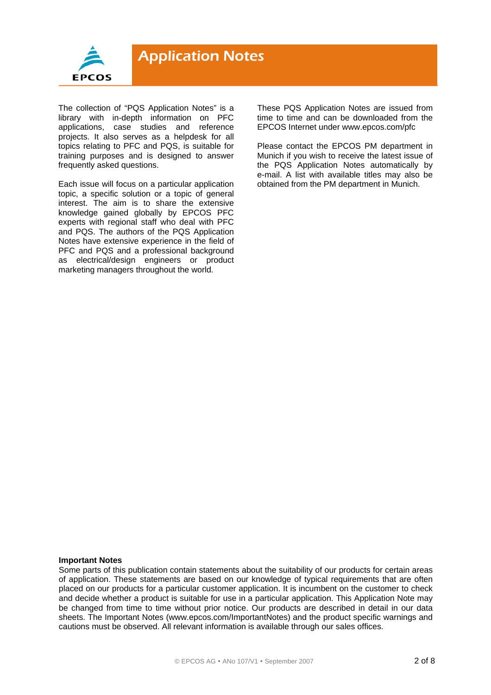

The collection of "PQS Application Notes" is a library with in-depth information on PFC applications, case studies and reference projects. It also serves as a helpdesk for all topics relating to PFC and PQS, is suitable for training purposes and is designed to answer frequently asked questions.

Each issue will focus on a particular application topic, a specific solution or a topic of general interest. The aim is to share the extensive knowledge gained globally by EPCOS PFC experts with regional staff who deal with PFC and PQS. The authors of the PQS Application Notes have extensive experience in the field of PFC and PQS and a professional background as electrical/design engineers or product marketing managers throughout the world.

These PQS Application Notes are issued from time to time and can be downloaded from the EPCOS Internet under www.epcos.com/pfc

Please contact the EPCOS PM department in Munich if you wish to receive the latest issue of the PQS Application Notes automatically by e-mail. A list with available titles may also be obtained from the PM department in Munich.

#### **Important Notes**

Some parts of this publication contain statements about the suitability of our products for certain areas of application. These statements are based on our knowledge of typical requirements that are often placed on our products for a particular customer application. It is incumbent on the customer to check and decide whether a product is suitable for use in a particular application. This Application Note may be changed from time to time without prior notice. Our products are described in detail in our data sheets. The Important Notes (www.epcos.com/ImportantNotes) and the product specific warnings and cautions must be observed. All relevant information is available through our sales offices.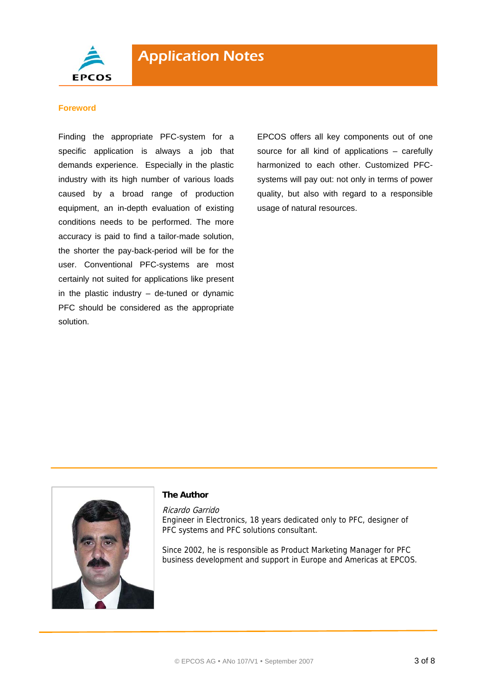

#### **Foreword**

Finding the appropriate PFC-system for a specific application is always a job that demands experience. Especially in the plastic industry with its high number of various loads caused by a broad range of production equipment, an in-depth evaluation of existing conditions needs to be performed. The more accuracy is paid to find a tailor-made solution, the shorter the pay-back-period will be for the user. Conventional PFC-systems are most certainly not suited for applications like present in the plastic industry  $-$  de-tuned or dynamic PFC should be considered as the appropriate solution.

EPCOS offers all key components out of one source for all kind of applications – carefully harmonized to each other. Customized PFCsystems will pay out: not only in terms of power quality, but also with regard to a responsible usage of natural resources.



#### **The Author**

Ricardo Garrido Engineer in Electronics, 18 years dedicated only to PFC, designer of PFC systems and PFC solutions consultant.

Since 2002, he is responsible as Product Marketing Manager for PFC business development and support in Europe and Americas at EPCOS.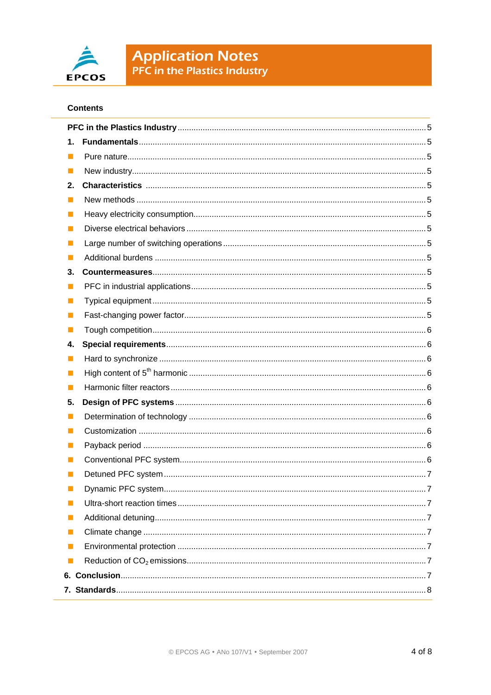

# **Application Notes**<br>PFC in the Plastics Industry

#### **Contents**

| 1.       |     |  |
|----------|-----|--|
| l.       |     |  |
|          |     |  |
| 2.       |     |  |
| ш        |     |  |
| H        |     |  |
| ш        |     |  |
| ш        |     |  |
|          |     |  |
| 3.       |     |  |
| H        |     |  |
| ш        |     |  |
| ш        |     |  |
| ш        |     |  |
| 4.       |     |  |
|          |     |  |
| ш        |     |  |
| ш        |     |  |
| 5.       |     |  |
| ш        |     |  |
| ш        |     |  |
| <b>I</b> |     |  |
| ш        |     |  |
|          |     |  |
|          | . 1 |  |
| ш        |     |  |
| ш        |     |  |
|          |     |  |
| П        |     |  |
|          |     |  |
|          |     |  |
|          |     |  |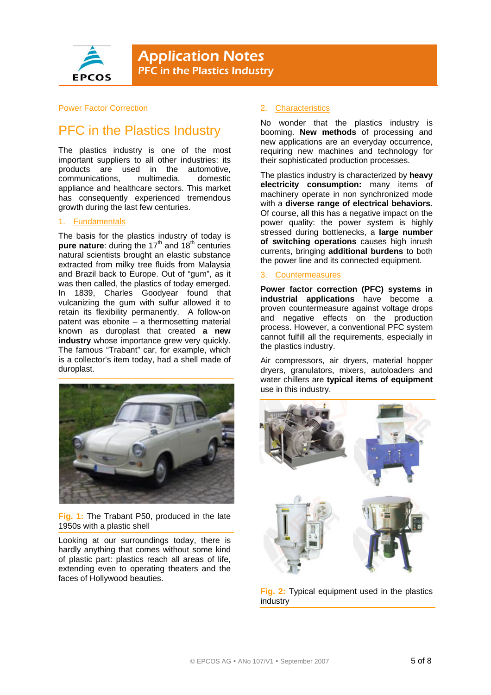

#### Power Factor Correction

### PFC in the Plastics Industry

The plastics industry is one of the most important suppliers to all other industries: its products are used in the automotive, communications, multimedia, domestic appliance and healthcare sectors. This market has consequently experienced tremendous growth during the last few centuries.

#### 1. Fundamentals

The basis for the plastics industry of today is **pure nature**: during the 17<sup>th</sup> and 18<sup>th</sup> centuries natural scientists brought an elastic substance extracted from milky tree fluids from Malaysia and Brazil back to Europe. Out of "gum", as it was then called, the plastics of today emerged. In 1839, Charles Goodyear found that vulcanizing the gum with sulfur allowed it to retain its flexibility permanently. A follow-on patent was ebonite – a thermosetting material known as duroplast that created **a new industry** whose importance grew very quickly. The famous "Trabant" car, for example, which is a collector's item today, had a shell made of duroplast.



**Fig. 1:** The Trabant P50, produced in the late 1950s with a plastic shell

Looking at our surroundings today, there is hardly anything that comes without some kind of plastic part: plastics reach all areas of life, extending even to operating theaters and the faces of Hollywood beauties.

#### 2. Characteristics

No wonder that the plastics industry is booming. **New methods** of processing and new applications are an everyday occurrence, requiring new machines and technology for their sophisticated production processes.

The plastics industry is characterized by **heavy electricity consumption:** many items of machinery operate in non synchronized mode with a **diverse range of electrical behaviors**. Of course, all this has a negative impact on the power quality: the power system is highly stressed during bottlenecks, a **large number of switching operations** causes high inrush currents, bringing **additional burdens** to both the power line and its connected equipment.

#### 3. Countermeasures

**Power factor correction (PFC) systems in industrial applications** have become a proven countermeasure against voltage drops and negative effects on the production process. However, a conventional PFC system cannot fulfill all the requirements, especially in the plastics industry.

Air compressors, air dryers, material hopper dryers, granulators, mixers, autoloaders and water chillers are **typical items of equipment**  use in this industry.



**Fig. 2:** Typical equipment used in the plastics industry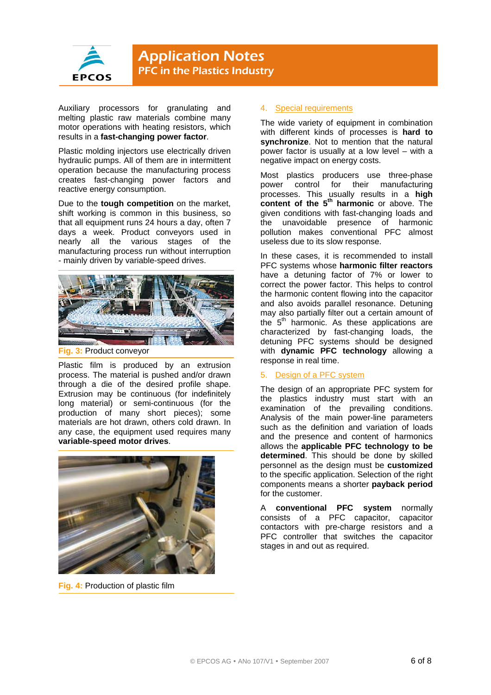

Auxiliary processors for granulating and melting plastic raw materials combine many motor operations with heating resistors, which results in a **fast-changing power factor**.

Plastic molding injectors use electrically driven hydraulic pumps. All of them are in intermittent operation because the manufacturing process creates fast-changing power factors and reactive energy consumption.

Due to the **tough competition** on the market, shift working is common in this business, so that all equipment runs 24 hours a day, often 7 days a week. Product conveyors used in nearly all the various stages of the manufacturing process run without interruption - mainly driven by variable-speed drives.



**Fig. 3:** Product conveyor

Plastic film is produced by an extrusion process. The material is pushed and/or drawn through a die of the desired profile shape. Extrusion may be continuous (for indefinitely long material) or semi-continuous (for the production of many short pieces); some materials are hot drawn, others cold drawn. In any case, the equipment used requires many **variable-speed motor drives**.



**Fig. 4:** Production of plastic film

#### 4. Special requirements

The wide variety of equipment in combination with different kinds of processes is **hard to synchronize**. Not to mention that the natural power factor is usually at a low level – with a negative impact on energy costs.

Most plastics producers use three-phase power control for their manufacturing processes. This usually results in a **high content of the 5<sup>th</sup> harmonic** or above. The given conditions with fast-changing loads and the unavoidable presence of harmonic pollution makes conventional PFC almost useless due to its slow response.

In these cases, it is recommended to install PFC systems whose **harmonic filter reactors** have a detuning factor of 7% or lower to correct the power factor. This helps to control the harmonic content flowing into the capacitor and also avoids parallel resonance. Detuning may also partially filter out a certain amount of the  $5<sup>th</sup>$  harmonic. As these applications are characterized by fast-changing loads, the detuning PFC systems should be designed with **dynamic PFC technology** allowing a response in real time.

#### 5. Design of a PFC system

The design of an appropriate PFC system for the plastics industry must start with an examination of the prevailing conditions. Analysis of the main power-line parameters such as the definition and variation of loads and the presence and content of harmonics allows the **applicable PFC technology to be determined**. This should be done by skilled personnel as the design must be **customized** to the specific application. Selection of the right components means a shorter **payback period** for the customer.

A **conventional PFC system** normally consists of a PFC capacitor, capacitor contactors with pre-charge resistors and a PFC controller that switches the capacitor stages in and out as required.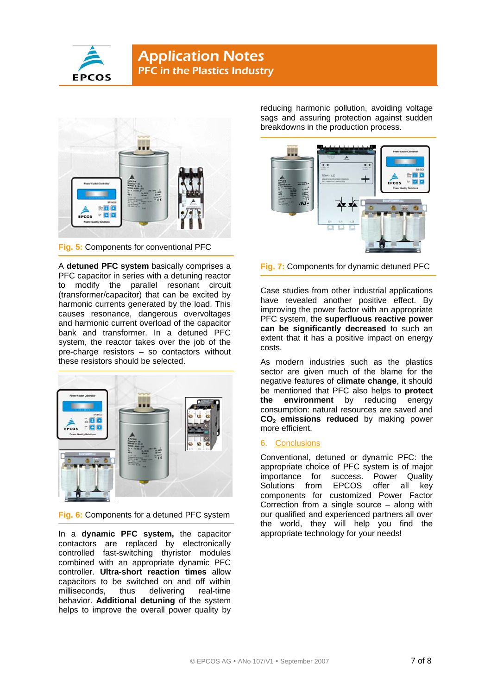



**Fig. 5:** Components for conventional PFC

A **detuned PFC system** basically comprises a PFC capacitor in series with a detuning reactor to modify the parallel resonant circuit (transformer/capacitor) that can be excited by harmonic currents generated by the load. This causes resonance, dangerous overvoltages and harmonic current overload of the capacitor bank and transformer. In a detuned PFC system, the reactor takes over the job of the pre-charge resistors – so contactors without these resistors should be selected.



**Fig. 6:** Components for a detuned PFC system

In a **dynamic PFC system,** the capacitor contactors are replaced by electronically controlled fast-switching thyristor modules combined with an appropriate dynamic PFC controller. **Ultra-short reaction times** allow capacitors to be switched on and off within milliseconds, thus delivering real-time behavior. **Additional detuning** of the system helps to improve the overall power quality by

reducing harmonic pollution, avoiding voltage sags and assuring protection against sudden breakdowns in the production process.



**Fig. 7:** Components for dynamic detuned PFC

Case studies from other industrial applications have revealed another positive effect. By improving the power factor with an appropriate PFC system, the **superfluous reactive power can be significantly decreased** to such an extent that it has a positive impact on energy costs.

As modern industries such as the plastics sector are given much of the blame for the negative features of **climate change**, it should be mentioned that PFC also helps to **protect the environment** by reducing energy consumption: natural resources are saved and **CO<sub>2</sub> emissions reduced** by making power more efficient.

#### 6. Conclusions

Conventional, detuned or dynamic PFC: the appropriate choice of PFC system is of major importance for success. Power Quality Solutions from EPCOS offer all key components for customized Power Factor Correction from a single source – along with our qualified and experienced partners all over the world, they will help you find the appropriate technology for your needs!